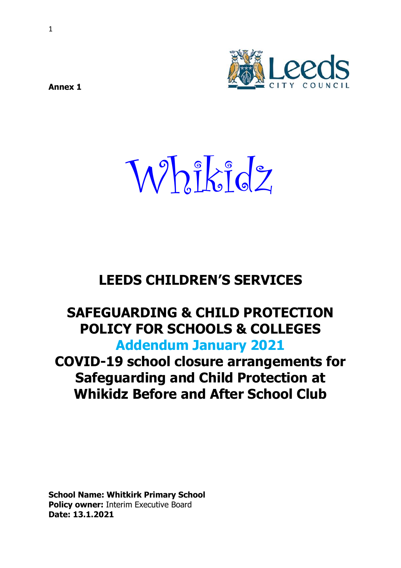

**Annex 1** 

Whikidz

# **LEEDS CHILDREN'S SERVICES**

# **SAFEGUARDING & CHILD PROTECTION POLICY FOR SCHOOLS & COLLEGES Addendum January 2021**

# **COVID-19 school closure arrangements for Safeguarding and Child Protection at Whikidz Before and After School Club**

**School Name: Whitkirk Primary School Policy owner:** Interim Executive Board **Date: 13.1.2021**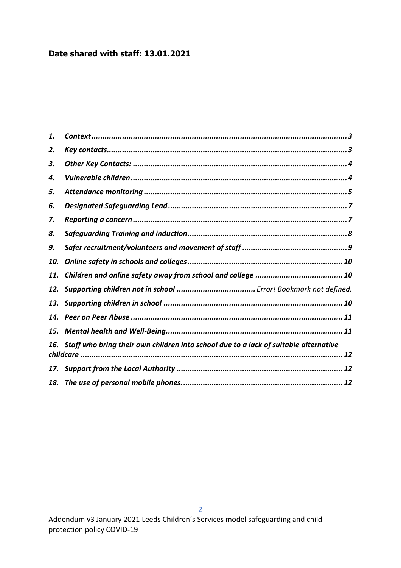# **Date shared with staff: 13.01.2021**

| 1.  |                                                                                          |
|-----|------------------------------------------------------------------------------------------|
| 2.  |                                                                                          |
| З.  |                                                                                          |
| 4.  |                                                                                          |
| 5.  |                                                                                          |
| 6.  |                                                                                          |
| 7.  |                                                                                          |
| 8.  |                                                                                          |
| 9.  |                                                                                          |
| 10. |                                                                                          |
| 11. |                                                                                          |
|     |                                                                                          |
|     |                                                                                          |
|     |                                                                                          |
|     |                                                                                          |
|     | 16. Staff who bring their own children into school due to a lack of suitable alternative |
|     |                                                                                          |
|     |                                                                                          |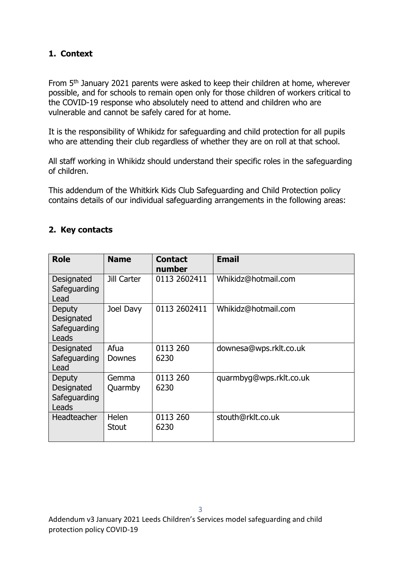## <span id="page-2-0"></span>**1. Context**

From 5<sup>th</sup> January 2021 parents were asked to keep their children at home, wherever possible, and for schools to remain open only for those children of workers critical to the COVID-19 response who absolutely need to attend and children who are vulnerable and cannot be safely cared for at home.

It is the responsibility of Whikidz for safeguarding and child protection for all pupils who are attending their club regardless of whether they are on roll at that school.

All staff working in Whikidz should understand their specific roles in the safeguarding of children.

This addendum of the Whitkirk Kids Club Safeguarding and Child Protection policy contains details of our individual safeguarding arrangements in the following areas:

## <span id="page-2-1"></span>**2. Key contacts**

| <b>Role</b>                                   | <b>Name</b>                  | <b>Contact</b><br>number | <b>Email</b>            |
|-----------------------------------------------|------------------------------|--------------------------|-------------------------|
| Designated<br>Safeguarding<br>Lead            | Jill Carter                  | 0113 2602411             | Whikidz@hotmail.com     |
| Deputy<br>Designated<br>Safeguarding<br>Leads | Joel Davy                    | 0113 2602411             | Whikidz@hotmail.com     |
| Designated<br>Safeguarding<br>Lead            | Afua<br>Downes               | 0113 260<br>6230         | downesa@wps.rklt.co.uk  |
| Deputy<br>Designated<br>Safeguarding<br>Leads | Gemma<br>Quarmby             | 0113 260<br>6230         | quarmbyg@wps.rklt.co.uk |
| <b>Headteacher</b>                            | <b>Helen</b><br><b>Stout</b> | 0113 260<br>6230         | stouth@rklt.co.uk       |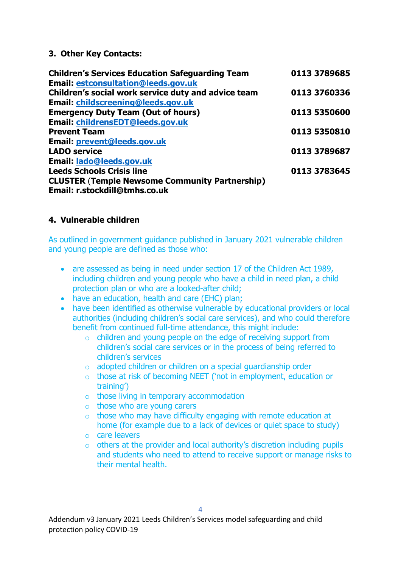### <span id="page-3-0"></span>**3. Other Key Contacts:**

| <b>Children's Services Education Safeguarding Team</b> | 0113 3789685 |
|--------------------------------------------------------|--------------|
| <b>Email: estconsultation@leeds.gov.uk</b>             |              |
| Children's social work service duty and advice team    | 0113 3760336 |
| Email: childscreening@leeds.gov.uk                     |              |
| <b>Emergency Duty Team (Out of hours)</b>              | 0113 5350600 |
| Email: childrensEDT@leeds.gov.uk                       |              |
| <b>Prevent Team</b>                                    | 0113 5350810 |
| Email: prevent@leeds.gov.uk                            |              |
| <b>LADO service</b>                                    | 0113 3789687 |
| Email: lado@leeds.gov.uk                               |              |
| <b>Leeds Schools Crisis line</b>                       | 0113 3783645 |
| <b>CLUSTER (Temple Newsome Community Partnership)</b>  |              |
| Email: r.stockdill@tmhs.co.uk                          |              |

## <span id="page-3-1"></span>**4. Vulnerable children**

As outlined in government guidance published in January 2021 vulnerable children and young people are defined as those who:

- are assessed as being in need under section 17 of the Children Act 1989, including children and young people who have a child in need plan, a child protection plan or who are a looked-after child;
- have an education, health and care (EHC) plan;
- have been identified as otherwise vulnerable by educational providers or local authorities (including children's social care services), and who could therefore benefit from continued full-time attendance, this might include:
	- $\circ$  children and young people on the edge of receiving support from children's social care services or in the process of being referred to children's services
	- o adopted children or children on a special guardianship order
	- o those at risk of becoming NEET ('not in employment, education or training')
	- o those living in temporary accommodation
	- o those who are young carers
	- $\circ$  those who may have difficulty engaging with remote education at home (for example due to a lack of devices or quiet space to study)
	- o care leavers
	- o others at the provider and local authority's discretion including pupils and students who need to attend to receive support or manage risks to their mental health.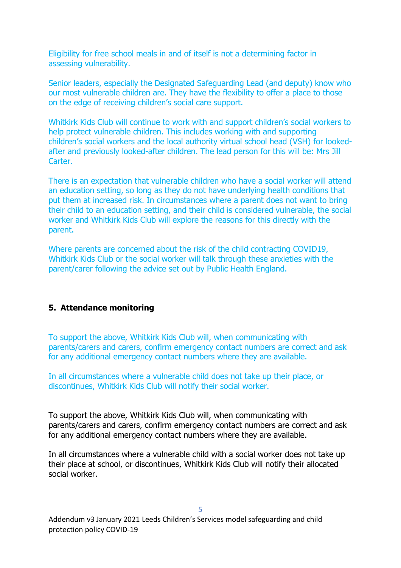Eligibility for free school meals in and of itself is not a determining factor in assessing vulnerability.

Senior leaders, especially the Designated Safeguarding Lead (and deputy) know who our most vulnerable children are. They have the flexibility to offer a place to those on the edge of receiving children's social care support.

Whitkirk Kids Club will continue to work with and support children's social workers to help protect vulnerable children. This includes working with and supporting children's social workers and the local authority virtual school head (VSH) for lookedafter and previously looked-after children. The lead person for this will be: Mrs Jill Carter.

There is an expectation that vulnerable children who have a social worker will attend an education setting, so long as they do not have underlying health conditions that put them at increased risk. In circumstances where a parent does not want to bring their child to an education setting, and their child is considered vulnerable, the social worker and Whitkirk Kids Club will explore the reasons for this directly with the parent.

Where parents are concerned about the risk of the child contracting COVID19, Whitkirk Kids Club or the social worker will talk through these anxieties with the parent/carer following the advice set out by Public Health England.

### <span id="page-4-0"></span>**5. Attendance monitoring**

To support the above, Whitkirk Kids Club will, when communicating with parents/carers and carers, confirm emergency contact numbers are correct and ask for any additional emergency contact numbers where they are available.

In all circumstances where a vulnerable child does not take up their place, or discontinues, Whitkirk Kids Club will notify their social worker.

To support the above, Whitkirk Kids Club will, when communicating with parents/carers and carers, confirm emergency contact numbers are correct and ask for any additional emergency contact numbers where they are available.

In all circumstances where a vulnerable child with a social worker does not take up their place at school, or discontinues, Whitkirk Kids Club will notify their allocated social worker.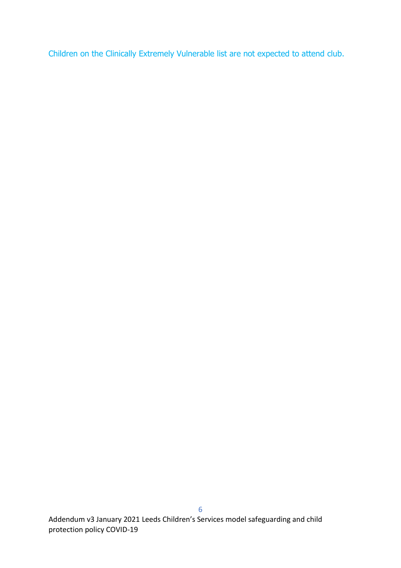Children on the Clinically Extremely Vulnerable list are not expected to attend club.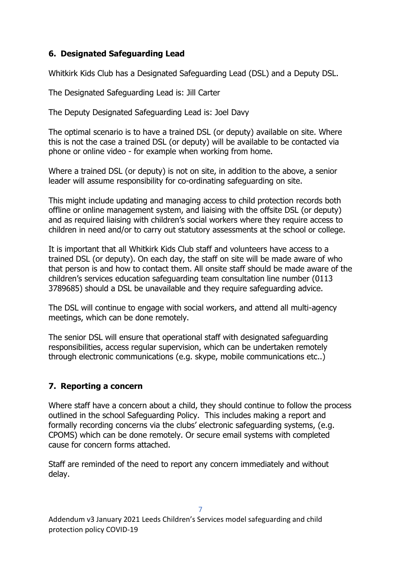# <span id="page-6-0"></span>**6. Designated Safeguarding Lead**

Whitkirk Kids Club has a Designated Safeguarding Lead (DSL) and a Deputy DSL.

The Designated Safeguarding Lead is: Jill Carter

The Deputy Designated Safeguarding Lead is: Joel Davy

The optimal scenario is to have a trained DSL (or deputy) available on site. Where this is not the case a trained DSL (or deputy) will be available to be contacted via phone or online video - for example when working from home.

Where a trained DSL (or deputy) is not on site, in addition to the above, a senior leader will assume responsibility for co-ordinating safeguarding on site.

This might include updating and managing access to child protection records both offline or online management system, and liaising with the offsite DSL (or deputy) and as required liaising with children's social workers where they require access to children in need and/or to carry out statutory assessments at the school or college.

It is important that all Whitkirk Kids Club staff and volunteers have access to a trained DSL (or deputy). On each day, the staff on site will be made aware of who that person is and how to contact them. All onsite staff should be made aware of the children's services education safeguarding team consultation line number (0113 3789685) should a DSL be unavailable and they require safeguarding advice.

The DSL will continue to engage with social workers, and attend all multi-agency meetings, which can be done remotely.

The senior DSL will ensure that operational staff with designated safeguarding responsibilities, access regular supervision, which can be undertaken remotely through electronic communications (e.g. skype, mobile communications etc..)

# <span id="page-6-1"></span>**7. Reporting a concern**

Where staff have a concern about a child, they should continue to follow the process outlined in the school Safeguarding Policy. This includes making a report and formally recording concerns via the clubs' electronic safeguarding systems, (e.g. CPOMS) which can be done remotely. Or secure email systems with completed cause for concern forms attached.

Staff are reminded of the need to report any concern immediately and without delay.

Addendum v3 January 2021 Leeds Children's Services model safeguarding and child protection policy COVID-19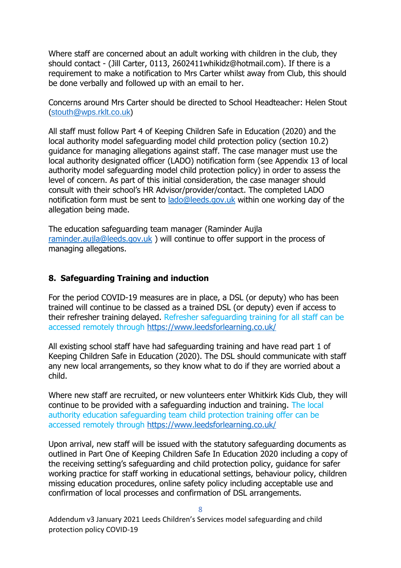Where staff are concerned about an adult working with children in the club, they should contact - (Jill Carter, 0113, 2602411whikidz@hotmail.com). If there is a requirement to make a notification to Mrs Carter whilst away from Club, this should be done verbally and followed up with an email to her.

Concerns around Mrs Carter should be directed to School Headteacher: Helen Stout [\(stouth@wps.rklt.co.uk\)](mailto:stouth@wps.rklt.co.uk)

All staff must follow Part 4 of Keeping Children Safe in Education (2020) and the local authority model safeguarding model child protection policy (section 10.2) guidance for managing allegations against staff. The case manager must use the local authority designated officer (LADO) notification form (see Appendix 13 of local authority model safeguarding model child protection policy) in order to assess the level of concern. As part of this initial consideration, the case manager should consult with their school's HR Advisor/provider/contact. The completed LADO notification form must be sent to [lado@leeds.gov.uk](mailto:lado@leeds.gov.uk) within one working day of the allegation being made.

The education safeguarding team manager (Raminder Aujla [raminder.aujla@leeds.gov.uk](mailto:raminder.aujla@leeds.gov.uk) ) will continue to offer support in the process of managing allegations.

#### <span id="page-7-0"></span>**8. Safeguarding Training and induction**

For the period COVID-19 measures are in place, a DSL (or deputy) who has been trained will continue to be classed as a trained DSL (or deputy) even if access to their refresher training delayed. Refresher safeguarding training for all staff can be accessed remotely through<https://www.leedsforlearning.co.uk/>

All existing school staff have had safeguarding training and have read part 1 of Keeping Children Safe in Education (2020). The DSL should communicate with staff any new local arrangements, so they know what to do if they are worried about a child.

Where new staff are recruited, or new volunteers enter Whitkirk Kids Club, they will continue to be provided with a safeguarding induction and training. The local authority education safeguarding team child protection training offer can be accessed remotely through <https://www.leedsforlearning.co.uk/>

Upon arrival, new staff will be issued with the statutory safeguarding documents as outlined in Part One of Keeping Children Safe In Education 2020 including a copy of the receiving setting's safeguarding and child protection policy, guidance for safer working practice for staff working in educational settings, behaviour policy, children missing education procedures, online safety policy including acceptable use and confirmation of local processes and confirmation of DSL arrangements.

8

Addendum v3 January 2021 Leeds Children's Services model safeguarding and child protection policy COVID-19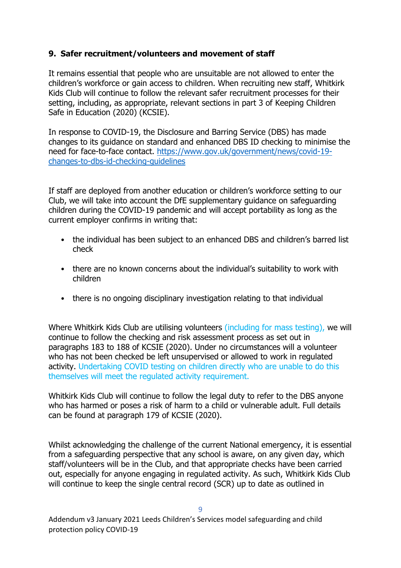## <span id="page-8-0"></span>**9. Safer recruitment/volunteers and movement of staff**

It remains essential that people who are unsuitable are not allowed to enter the children's workforce or gain access to children. When recruiting new staff, Whitkirk Kids Club will continue to follow the relevant safer recruitment processes for their setting, including, as appropriate, relevant sections in part 3 of Keeping Children Safe in Education (2020) (KCSIE).

In response to COVID-19, the Disclosure and Barring Service (DBS) has made changes to its guidance on standard and enhanced DBS ID checking to minimise the need for face-to-face contact. [https://www.gov.uk/government/news/covid-19](https://www.gov.uk/government/news/covid-19-changes-to-dbs-id-checking-guidelines) [changes-to-dbs-id-checking-guidelines](https://www.gov.uk/government/news/covid-19-changes-to-dbs-id-checking-guidelines)

If staff are deployed from another education or children's workforce setting to our Club, we will take into account the DfE supplementary guidance on safeguarding children during the COVID-19 pandemic and will accept portability as long as the current employer confirms in writing that:

- the individual has been subject to an enhanced DBS and children's barred list check
- there are no known concerns about the individual's suitability to work with children
- there is no ongoing disciplinary investigation relating to that individual

Where Whitkirk Kids Club are utilising volunteers *(including for mass testing)*, we will continue to follow the checking and risk assessment process as set out in paragraphs 183 to 188 of KCSIE (2020). Under no circumstances will a volunteer who has not been checked be left unsupervised or allowed to work in regulated activity. Undertaking COVID testing on children directly who are unable to do this themselves will meet the regulated activity requirement.

Whitkirk Kids Club will continue to follow the legal duty to refer to the DBS anyone who has harmed or poses a risk of harm to a child or vulnerable adult. Full details can be found at paragraph 179 of KCSIE (2020).

Whilst acknowledging the challenge of the current National emergency, it is essential from a safeguarding perspective that any school is aware, on any given day, which staff/volunteers will be in the Club, and that appropriate checks have been carried out, especially for anyone engaging in regulated activity. As such, Whitkirk Kids Club will continue to keep the single central record (SCR) up to date as outlined in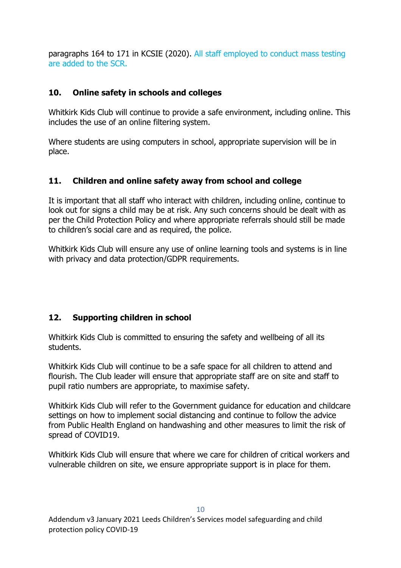paragraphs 164 to 171 in KCSIE (2020). All staff employed to conduct mass testing are added to the SCR.

## <span id="page-9-0"></span>**10. Online safety in schools and colleges**

Whitkirk Kids Club will continue to provide a safe environment, including online. This includes the use of an online filtering system.

Where students are using computers in school, appropriate supervision will be in place.

# <span id="page-9-1"></span>**11. Children and online safety away from school and college**

It is important that all staff who interact with children, including online, continue to look out for signs a child may be at risk. Any such concerns should be dealt with as per the Child Protection Policy and where appropriate referrals should still be made to children's social care and as required, the police.

Whitkirk Kids Club will ensure any use of online learning tools and systems is in line with privacy and data protection/GDPR requirements.

# <span id="page-9-2"></span>**12. Supporting children in school**

Whitkirk Kids Club is committed to ensuring the safety and wellbeing of all its students.

Whitkirk Kids Club will continue to be a safe space for all children to attend and flourish. The Club leader will ensure that appropriate staff are on site and staff to pupil ratio numbers are appropriate, to maximise safety.

Whitkirk Kids Club will refer to the Government guidance for education and childcare settings on how to implement social distancing and continue to follow the advice from Public Health England on handwashing and other measures to limit the risk of spread of COVID19.

Whitkirk Kids Club will ensure that where we care for children of critical workers and vulnerable children on site, we ensure appropriate support is in place for them.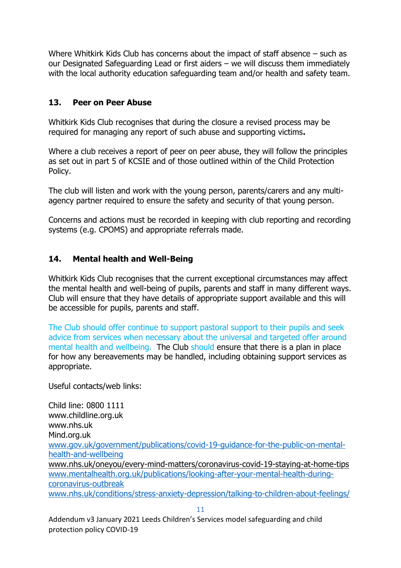Where Whitkirk Kids Club has concerns about the impact of staff absence – such as our Designated Safeguarding Lead or first aiders – we will discuss them immediately with the local authority education safeguarding team and/or health and safety team.

## <span id="page-10-0"></span>**13. Peer on Peer Abuse**

Whitkirk Kids Club recognises that during the closure a revised process may be required for managing any report of such abuse and supporting victims**.** 

Where a club receives a report of peer on peer abuse, they will follow the principles as set out in part 5 of KCSIE and of those outlined within of the Child Protection Policy.

The club will listen and work with the young person, parents/carers and any multiagency partner required to ensure the safety and security of that young person.

Concerns and actions must be recorded in keeping with club reporting and recording systems (e.g. CPOMS) and appropriate referrals made.

## <span id="page-10-1"></span>**14. Mental health and Well-Being**

Whitkirk Kids Club recognises that the current exceptional circumstances may affect the mental health and well-being of pupils, parents and staff in many different ways. Club will ensure that they have details of appropriate support available and this will be accessible for pupils, parents and staff.

The Club should offer continue to support pastoral support to their pupils and seek advice from services when necessary about the universal and targeted offer around mental health and wellbeing. The Club should ensure that there is a plan in place for how any bereavements may be handled, including obtaining support services as appropriate.

Useful contacts/web links:

Child line: 0800 1111 www.childline.org.uk www.nhs.uk Mind.org.uk [www.gov.uk/government/publications/covid-19-guidance-for-the-public-on-mental](http://www.gov.uk/government/publications/covid-19-guidance-for-the-public-on-mental-health-and-wellbeing)[health-and-wellbeing](http://www.gov.uk/government/publications/covid-19-guidance-for-the-public-on-mental-health-and-wellbeing) [www.nhs.uk/oneyou/every-mind-matters/coronavirus-covid-19-staying-at-home-tips](http://www.nhs.uk/oneyou/every-mind-matters/coronavirus-covid-19-staying-at-home-tips)  [www.mentalhealth.org.uk/publications/looking-after-your-mental-health-during](http://www.mentalhealth.org.uk/publications/looking-after-your-mental-health-during-coronavirus-outbreak)[coronavirus-outbreak](http://www.mentalhealth.org.uk/publications/looking-after-your-mental-health-during-coronavirus-outbreak) [www.nhs.uk/conditions/stress-anxiety-depression/talking-to-children-about-feelings/](http://www.nhs.uk/conditions/stress-anxiety-depression/talking-to-children-about-feelings/)

11

Addendum v3 January 2021 Leeds Children's Services model safeguarding and child protection policy COVID-19